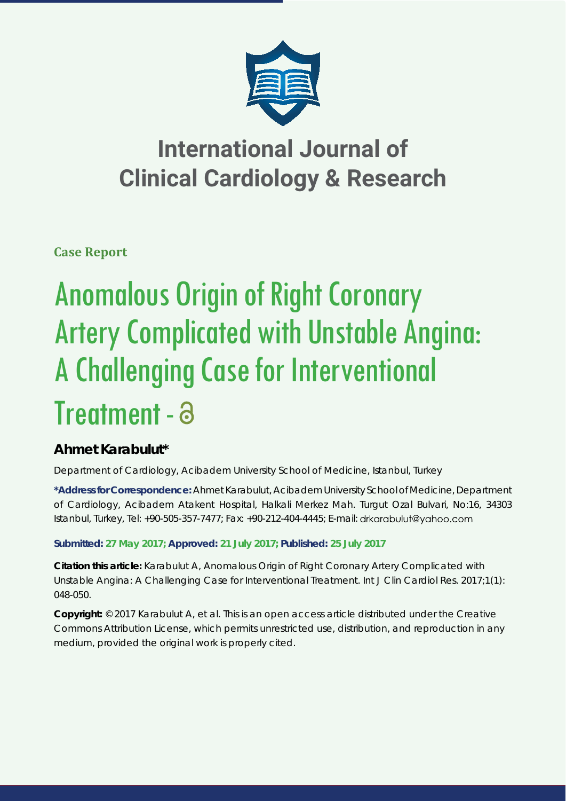

## **International Journal of Clinical Cardiology & Research**

**Case Report**

# Anomalous Origin of Right Coronary Artery Complicated with Unstable Angina: A Challenging Case for Interventional Treatment - a

### **Ahmet Karabulut\***

*Department of Cardiology, Acibadem University School of Medicine, Istanbul, Turkey*

**\*Address for Correspondence:** Ahmet Karabulut, Acibadem University School of Medicine, Department of Cardiology, Acibadem Atakent Hospital, Halkali Merkez Mah. Turgut Ozal Bulvari, No:16, 34303 Istanbul, Turkey, Tel: +90-505-357-7477; Fax: +90-212-404-4445; E-mail:

**Submitted: 27 May 2017; Approved: 21 July 2017; Published: 25 July 2017**

**Citation this article:** Karabulut A, Anomalous Origin of Right Coronary Artery Complicated with Unstable Angina: A Challenging Case for Interventional Treatment. Int J Clin Cardiol Res. 2017;1(1): 048-050.

**Copyright:** © 2017 Karabulut A, et al. This is an open access article distributed under the Creative Commons Attribution License, which permits unrestricted use, distribution, and reproduction in any medium, provided the original work is properly cited.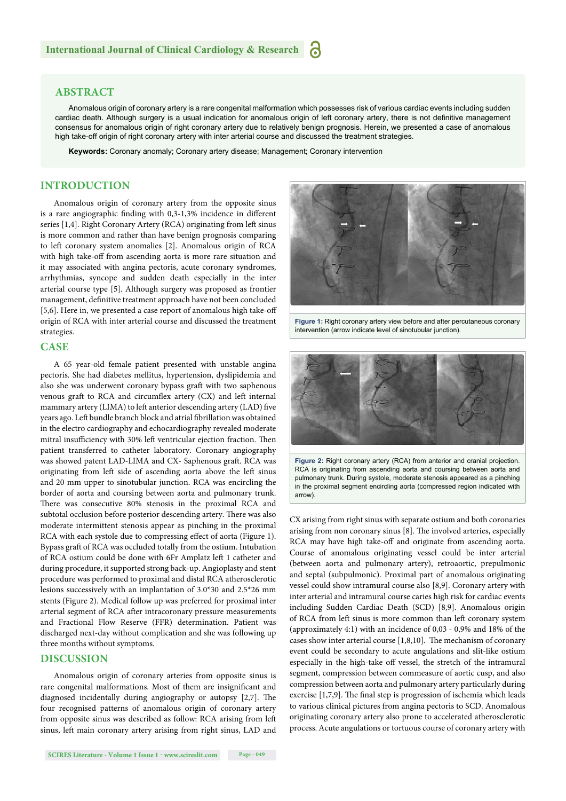#### **ABSTRACT**

Anomalous origin of coronary artery is a rare congenital malformation which possesses risk of various cardiac events including sudden cardiac death. Although surgery is a usual indication for anomalous origin of left coronary artery, there is not definitive management consensus for anomalous origin of right coronary artery due to relatively benign prognosis. Herein, we presented a case of anomalous high take-off origin of right coronary artery with inter arterial course and discussed the treatment strategies.

**Keywords:** Coronary anomaly; Coronary artery disease; Management; Coronary intervention

#### **INTRODUCTION**

Anomalous origin of coronary artery from the opposite sinus is a rare angiographic finding with  $0,3-1,3%$  incidence in different series [1,4]. Right Coronary Artery (RCA) originating from left sinus is more common and rather than have benign prognosis comparing to left coronary system anomalies [2]. Anomalous origin of RCA with high take-off from ascending aorta is more rare situation and it may associated with angina pectoris, acute coronary syndromes, arrhythmias, syncope and sudden death especially in the inter arterial course type [5]. Although surgery was proposed as frontier management, definitive treatment approach have not been concluded [5,6]. Here in, we presented a case report of anomalous high take-off origin of RCA with inter arterial course and discussed the treatment strategies.

#### **CASE**

A 65 year-old female patient presented with unstable angina pectoris. She had diabetes mellitus, hypertension, dyslipidemia and also she was underwent coronary bypass graft with two saphenous venous graft to RCA and circumflex artery (CX) and left internal mammary artery (LIMA) to left anterior descending artery (LAD) five years ago. Left bundle branch block and atrial fibrillation was obtained in the electro cardiography and echocardiography revealed moderate mitral insufficiency with 30% left ventricular ejection fraction. Then patient transferred to catheter laboratory. Coronary angiography was showed patent LAD-LIMA and CX- Saphenous graft. RCA was originating from left side of ascending aorta above the left sinus and 20 mm upper to sinotubular junction. RCA was encircling the border of aorta and coursing between aorta and pulmonary trunk. There was consecutive 80% stenosis in the proximal RCA and subtotal occlusion before posterior descending artery. There was also moderate intermittent stenosis appear as pinching in the proximal RCA with each systole due to compressing effect of aorta (Figure 1). Bypass graft of RCA was occluded totally from the ostium. Intubation of RCA ostium could be done with 6Fr Amplatz left 1 catheter and during procedure, it supported strong back-up. Angioplasty and stent procedure was performed to proximal and distal RCA atherosclerotic lesions successively with an implantation of 3.0\*30 and 2.5\*26 mm stents (Figure 2). Medical follow up was preferred for proximal inter arterial segment of RCA after intracoronary pressure measurements and Fractional Flow Reserve (FFR) determination. Patient was discharged next-day without complication and she was following up three months without symptoms.

#### **DISCUSSION**

Anomalous origin of coronary arteries from opposite sinus is rare congenital malformations. Most of them are insignificant and diagnosed incidentally during angiography or autopsy [2,7]. The four recognised patterns of anomalous origin of coronary artery from opposite sinus was described as follow: RCA arising from left sinus, left main coronary artery arising from right sinus, LAD and



**Figure 1:** Right coronary artery view before and after percutaneous coronary intervention (arrow indicate level of sinotubular junction).



**Figure 2:** Right coronary artery (RCA) from anterior and cranial projection. RCA is originating from ascending aorta and coursing between aorta and pulmonary trunk. During systole, moderate stenosis appeared as a pinching in the proximal segment encircling aorta (compressed region indicated with arrow)

CX arising from right sinus with separate ostium and both coronaries arising from non coronary sinus  $[8]$ . The involved arteries, especially RCA may have high take-off and originate from ascending aorta. Course of anomalous originating vessel could be inter arterial (between aorta and pulmonary artery), retroaortic, prepulmonic and septal (subpulmonic). Proximal part of anomalous originating vessel could show intramural course also [8,9]. Coronary artery with inter arterial and intramural course caries high risk for cardiac events including Sudden Cardiac Death (SCD) [8,9]. Anomalous origin of RCA from left sinus is more common than left coronary system (approximately 4:1) with an incidence of 0,03 - 0,9% and 18% of the cases show inter arterial course  $[1,8,10]$ . The mechanism of coronary event could be secondary to acute angulations and slit-like ostium especially in the high-take off vessel, the stretch of the intramural segment, compression between commeasure of aortic cusp, and also compression between aorta and pulmonary artery particularly during exercise [1,7,9]. The final step is progression of ischemia which leads to various clinical pictures from angina pectoris to SCD. Anomalous originating coronary artery also prone to accelerated atherosclerotic process. Acute angulations or tortuous course of coronary artery with